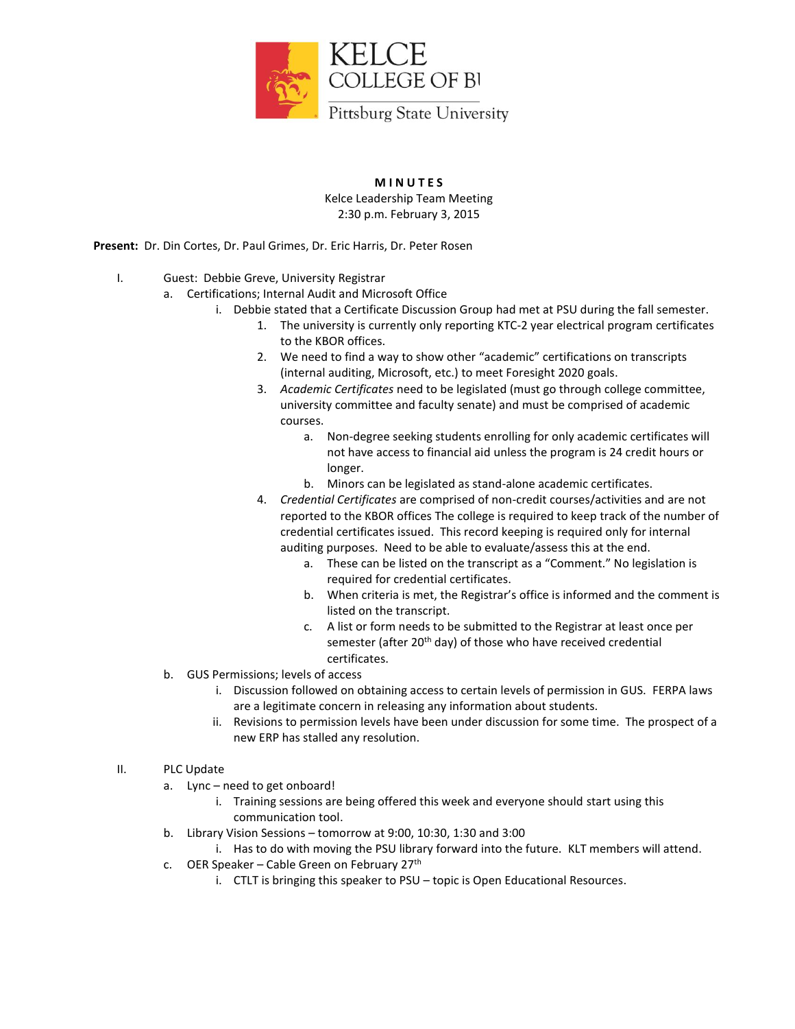

## **M I N U T E S** Kelce Leadership Team Meeting 2:30 p.m. February 3, 2015

**Present:** Dr. Din Cortes, Dr. Paul Grimes, Dr. Eric Harris, Dr. Peter Rosen

- I. Guest: Debbie Greve, University Registrar
	- a. Certifications; Internal Audit and Microsoft Office
		- i. Debbie stated that a Certificate Discussion Group had met at PSU during the fall semester.
			- 1. The university is currently only reporting KTC-2 year electrical program certificates to the KBOR offices.
			- 2. We need to find a way to show other "academic" certifications on transcripts (internal auditing, Microsoft, etc.) to meet Foresight 2020 goals.
			- 3. *Academic Certificates* need to be legislated (must go through college committee, university committee and faculty senate) and must be comprised of academic courses.
				- a. Non-degree seeking students enrolling for only academic certificates will not have access to financial aid unless the program is 24 credit hours or longer.
				- b. Minors can be legislated as stand-alone academic certificates.
			- 4. *Credential Certificates* are comprised of non-credit courses/activities and are not reported to the KBOR offices The college is required to keep track of the number of credential certificates issued. This record keeping is required only for internal auditing purposes. Need to be able to evaluate/assess this at the end.
				- a. These can be listed on the transcript as a "Comment." No legislation is required for credential certificates.
				- b. When criteria is met, the Registrar's office is informed and the comment is listed on the transcript.
				- c. A list or form needs to be submitted to the Registrar at least once per semester (after  $20<sup>th</sup>$  day) of those who have received credential certificates.
	- b. GUS Permissions; levels of access
		- i. Discussion followed on obtaining access to certain levels of permission in GUS. FERPA laws are a legitimate concern in releasing any information about students.
		- ii. Revisions to permission levels have been under discussion for some time. The prospect of a new ERP has stalled any resolution.

## II. PLC Update

- a. Lync need to get onboard!
	- i. Training sessions are being offered this week and everyone should start using this communication tool.
- b. Library Vision Sessions tomorrow at 9:00, 10:30, 1:30 and 3:00
	- i. Has to do with moving the PSU library forward into the future. KLT members will attend.
- c. OER Speaker Cable Green on February  $27<sup>th</sup>$ 
	- i. CTLT is bringing this speaker to PSU topic is Open Educational Resources.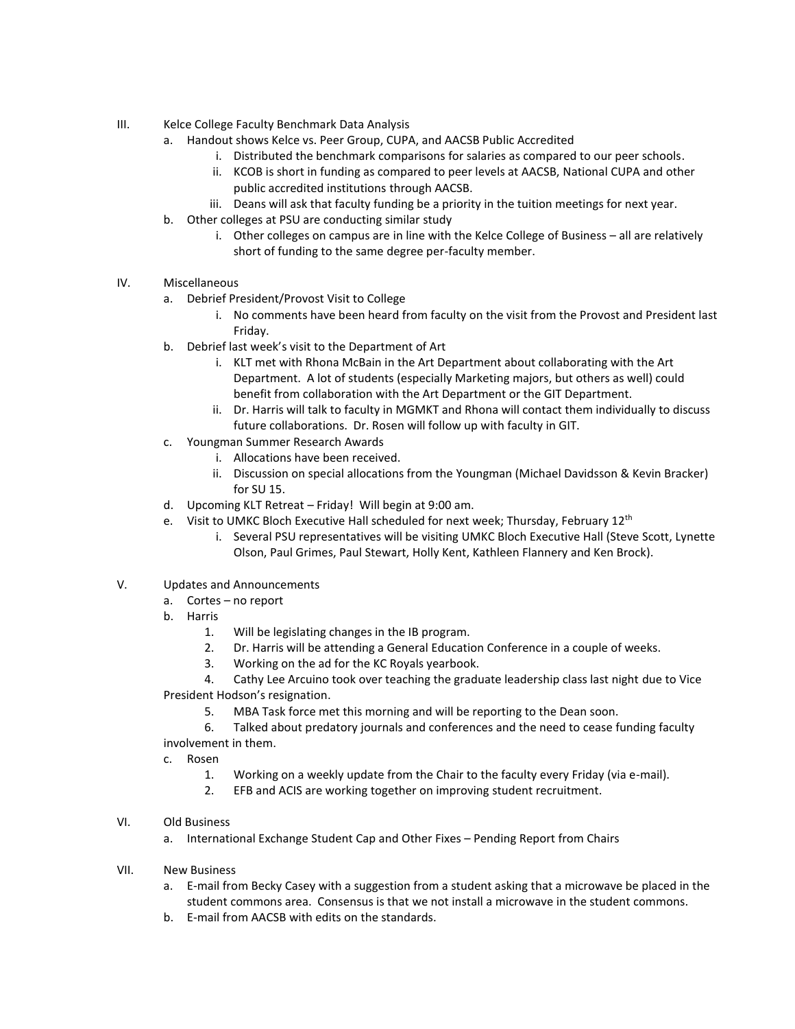- III. Kelce College Faculty Benchmark Data Analysis
	- a. Handout shows Kelce vs. Peer Group, CUPA, and AACSB Public Accredited
		- i. Distributed the benchmark comparisons for salaries as compared to our peer schools.
		- ii. KCOB is short in funding as compared to peer levels at AACSB, National CUPA and other public accredited institutions through AACSB.
		- iii. Deans will ask that faculty funding be a priority in the tuition meetings for next year.
	- b. Other colleges at PSU are conducting similar study
		- i. Other colleges on campus are in line with the Kelce College of Business all are relatively short of funding to the same degree per-faculty member.
- IV. Miscellaneous
	- a. Debrief President/Provost Visit to College
		- i. No comments have been heard from faculty on the visit from the Provost and President last Friday.
	- b. Debrief last week's visit to the Department of Art
		- i. KLT met with Rhona McBain in the Art Department about collaborating with the Art Department. A lot of students (especially Marketing majors, but others as well) could benefit from collaboration with the Art Department or the GIT Department.
		- ii. Dr. Harris will talk to faculty in MGMKT and Rhona will contact them individually to discuss future collaborations. Dr. Rosen will follow up with faculty in GIT.
	- c. Youngman Summer Research Awards
		- i. Allocations have been received.
		- ii. Discussion on special allocations from the Youngman (Michael Davidsson & Kevin Bracker) for SU 15.
	- d. Upcoming KLT Retreat Friday! Will begin at 9:00 am.
	- e. Visit to UMKC Bloch Executive Hall scheduled for next week; Thursday, February 12<sup>th</sup>
		- i. Several PSU representatives will be visiting UMKC Bloch Executive Hall (Steve Scott, Lynette Olson, Paul Grimes, Paul Stewart, Holly Kent, Kathleen Flannery and Ken Brock).
- V. Updates and Announcements
	- a. Cortes no report
	- b. Harris
		- 1. Will be legislating changes in the IB program.
		- 2. Dr. Harris will be attending a General Education Conference in a couple of weeks.
		- 3. Working on the ad for the KC Royals yearbook.

4. Cathy Lee Arcuino took over teaching the graduate leadership class last night due to Vice President Hodson's resignation.

- 5. MBA Task force met this morning and will be reporting to the Dean soon.
- 6. Talked about predatory journals and conferences and the need to cease funding faculty

involvement in them.

- c. Rosen
	- 1. Working on a weekly update from the Chair to the faculty every Friday (via e-mail).
	- 2. EFB and ACIS are working together on improving student recruitment.
- VI. Old Business
	- a. International Exchange Student Cap and Other Fixes Pending Report from Chairs
- VII. New Business
	- a. E-mail from Becky Casey with a suggestion from a student asking that a microwave be placed in the student commons area. Consensus is that we not install a microwave in the student commons.
	- b. E-mail from AACSB with edits on the standards.